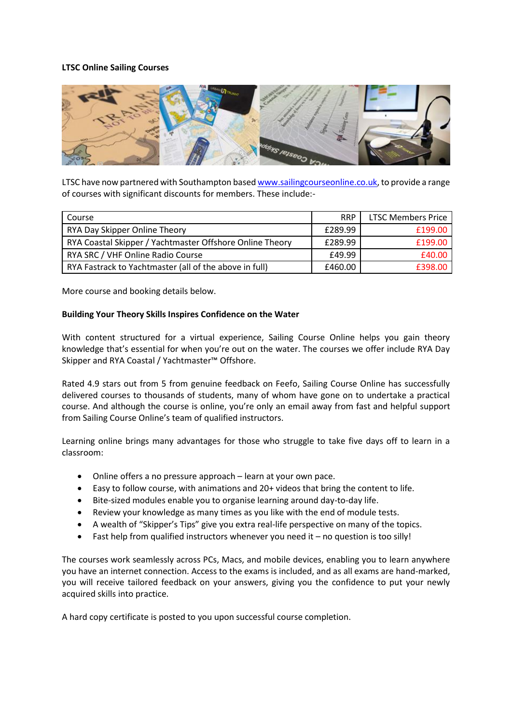# **LTSC Online Sailing Courses**



LTSC have now partnered with Southampton base[d www.sailingcourseonline.co.uk,](www.sailingcourseonline.co.uk) to provide a range of courses with significant discounts for members. These include:-

| Course                                                   | <b>RRP</b> | <b>LTSC Members Price</b> |
|----------------------------------------------------------|------------|---------------------------|
| RYA Day Skipper Online Theory                            | £289.99    | £199.00                   |
| RYA Coastal Skipper / Yachtmaster Offshore Online Theory | £289.99    | £199.00                   |
| RYA SRC / VHF Online Radio Course                        | £49.99     | £40.00                    |
| RYA Fastrack to Yachtmaster (all of the above in full)   | £460.00    | £398.00                   |

More course and booking details below.

## **Building Your Theory Skills Inspires Confidence on the Water**

With content structured for a virtual experience, Sailing Course Online helps you gain theory knowledge that's essential for when you're out on the water. The courses we offer include RYA Day Skipper and RYA Coastal / Yachtmaster™ Offshore.

Rated 4.9 stars out from 5 from genuine feedback on Feefo, Sailing Course Online has successfully delivered courses to thousands of students, many of whom have gone on to undertake a practical course. And although the course is online, you're only an email away from fast and helpful support from Sailing Course Online's team of qualified instructors.

Learning online brings many advantages for those who struggle to take five days off to learn in a classroom:

- Online offers a no pressure approach learn at your own pace.
- Easy to follow course, with animations and 20+ videos that bring the content to life.
- Bite-sized modules enable you to organise learning around day-to-day life.
- Review your knowledge as many times as you like with the end of module tests.
- A wealth of "Skipper's Tips" give you extra real-life perspective on many of the topics.
- Fast help from qualified instructors whenever you need it no question is too silly!

The courses work seamlessly across PCs, Macs, and mobile devices, enabling you to learn anywhere you have an internet connection. Access to the exams is included, and as all exams are hand-marked, you will receive tailored feedback on your answers, giving you the confidence to put your newly acquired skills into practice.

A hard copy certificate is posted to you upon successful course completion.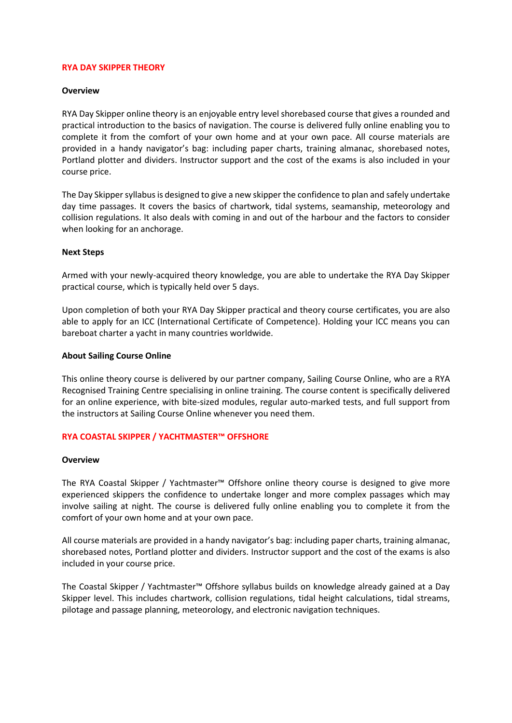#### **RYA DAY SKIPPER THEORY**

### **Overview**

RYA Day Skipper online theory is an enjoyable entry level shorebased course that gives a rounded and practical introduction to the basics of navigation. The course is delivered fully online enabling you to complete it from the comfort of your own home and at your own pace. All course materials are provided in a handy navigator's bag: including paper charts, training almanac, shorebased notes, Portland plotter and dividers. Instructor support and the cost of the exams is also included in your course price.

The Day Skipper syllabus is designed to give a new skipper the confidence to plan and safely undertake day time passages. It covers the basics of chartwork, tidal systems, seamanship, meteorology and collision regulations. It also deals with coming in and out of the harbour and the factors to consider when looking for an anchorage.

### **Next Steps**

Armed with your newly-acquired theory knowledge, you are able to undertake the RYA Day Skipper practical course, which is typically held over 5 days.

Upon completion of both your RYA Day Skipper practical and theory course certificates, you are also able to apply for an ICC (International Certificate of Competence). Holding your ICC means you can bareboat charter a yacht in many countries worldwide.

### **About Sailing Course Online**

This online theory course is delivered by our partner company, Sailing Course Online, who are a RYA Recognised Training Centre specialising in online training. The course content is specifically delivered for an online experience, with bite-sized modules, regular auto-marked tests, and full support from the instructors at Sailing Course Online whenever you need them.

## **RYA COASTAL SKIPPER / YACHTMASTER™ OFFSHORE**

#### **Overview**

The RYA Coastal Skipper / Yachtmaster™ Offshore online theory course is designed to give more experienced skippers the confidence to undertake longer and more complex passages which may involve sailing at night. The course is delivered fully online enabling you to complete it from the comfort of your own home and at your own pace.

All course materials are provided in a handy navigator's bag: including paper charts, training almanac, shorebased notes, Portland plotter and dividers. Instructor support and the cost of the exams is also included in your course price.

The Coastal Skipper / Yachtmaster™ Offshore syllabus builds on knowledge already gained at a Day Skipper level. This includes chartwork, collision regulations, tidal height calculations, tidal streams, pilotage and passage planning, meteorology, and electronic navigation techniques.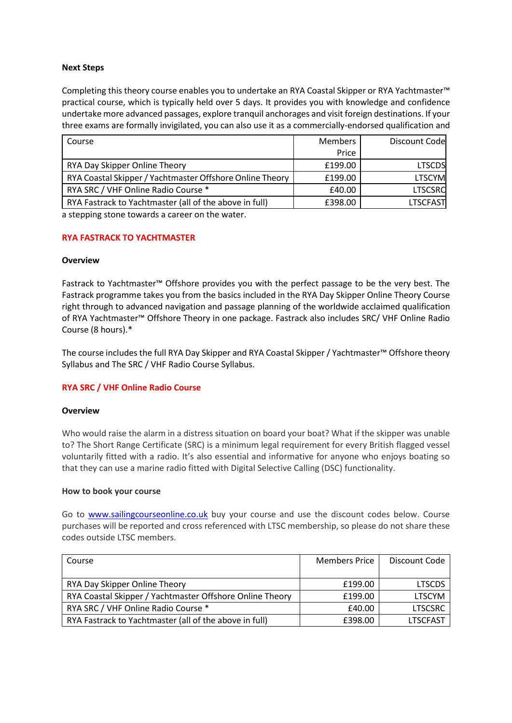## **Next Steps**

Completing this theory course enables you to undertake an RYA Coastal Skipper or RYA Yachtmaster™ practical course, which is typically held over 5 days. It provides you with knowledge and confidence undertake more advanced passages, explore tranquil anchorages and visit foreign destinations. If your three exams are formally invigilated, you can also use it as a commercially-endorsed qualification and

| Course                                                   | <b>Members</b> | Discount Code   |
|----------------------------------------------------------|----------------|-----------------|
|                                                          | Price          |                 |
| RYA Day Skipper Online Theory                            | £199.00        | <b>LTSCDS</b>   |
| RYA Coastal Skipper / Yachtmaster Offshore Online Theory | £199.00        | <b>LTSCYM</b>   |
| RYA SRC / VHF Online Radio Course *                      | £40.00         | <b>LTSCSRC</b>  |
| RYA Fastrack to Yachtmaster (all of the above in full)   | £398.00        | <b>LTSCFAST</b> |

a stepping stone towards a career on the water.

# **RYA FASTRACK TO YACHTMASTER**

### **Overview**

Fastrack to Yachtmaster™ Offshore provides you with the perfect passage to be the very best. The Fastrack programme takes you from the basics included in the RYA Day Skipper Online Theory Course right through to advanced navigation and passage planning of the worldwide acclaimed qualification of RYA Yachtmaster™ Offshore Theory in one package. Fastrack also includes SRC/ VHF Online Radio Course (8 hours).\*

The course includes the full RYA Day Skipper and RYA Coastal Skipper / Yachtmaster™ Offshore theory Syllabus and The SRC / VHF Radio Course Syllabus.

## **RYA SRC / VHF Online Radio Course**

#### **Overview**

Who would raise the alarm in a distress situation on board your boat? What if the skipper was unable to? The Short Range Certificate (SRC) is a minimum legal requirement for every British flagged vessel voluntarily fitted with a radio. It's also essential and informative for anyone who enjoys boating so that they can use a marine radio fitted with Digital Selective Calling (DSC) functionality.

#### **How to book your course**

Go to [www.sailingcourseonline.co.uk](http://www.sailingcourseonline.co.uk/) buy your course and use the discount codes below. Course purchases will be reported and cross referenced with LTSC membership, so please do not share these codes outside LTSC members.

| Course                                                   | <b>Members Price</b> | Discount Code   |
|----------------------------------------------------------|----------------------|-----------------|
|                                                          |                      |                 |
| RYA Day Skipper Online Theory                            | £199.00              | <b>LTSCDS</b>   |
| RYA Coastal Skipper / Yachtmaster Offshore Online Theory | £199.00              | <b>LTSCYM</b>   |
| RYA SRC / VHF Online Radio Course *                      | £40.00               | <b>LTSCSRC</b>  |
| RYA Fastrack to Yachtmaster (all of the above in full)   | £398.00              | <b>LTSCFAST</b> |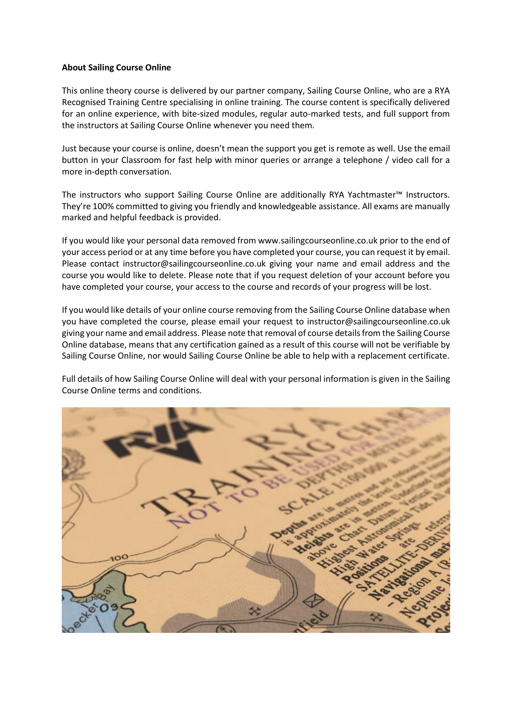### **About Sailing Course Online**

This online theory course is delivered by our partner company, Sailing Course Online, who are a RYA Recognised Training Centre specialising in online training. The course content is specifically delivered for an online experience, with bite-sized modules, regular auto-marked tests, and full support from the instructors at Sailing Course Online whenever you need them.

Just because your course is online, doesn't mean the support you get is remote as well. Use the email button in your Classroom for fast help with minor queries or arrange a telephone / video call for a more in-depth conversation.

The instructors who support Sailing Course Online are additionally RYA Yachtmaster™ Instructors. They're 100% committed to giving you friendly and knowledgeable assistance. All exams are manually marked and helpful feedback is provided.

If you would like your personal data removed from www.sailingcourseonline.co.uk prior to the end of your access period or at any time before you have completed your course, you can request it by email. Please contact instructor@sailingcourseonline.co.uk giving your name and email address and the course you would like to delete. Please note that if you request deletion of your account before you have completed your course, your access to the course and records of your progress will be lost.

If you would like details of your online course removing from the Sailing Course Online database when you have completed the course, please email your request to instructor@sailingcourseonline.co.uk giving your name and email address. Please note that removal of course details from the Sailing Course Online database, means that any certification gained as a result of this course will not be verifiable by Sailing Course Online, nor would Sailing Course Online be able to help with a replacement certificate.

Full details of how Sailing Course Online will deal with your personal information is given in the Sailing Course Online terms and conditions.

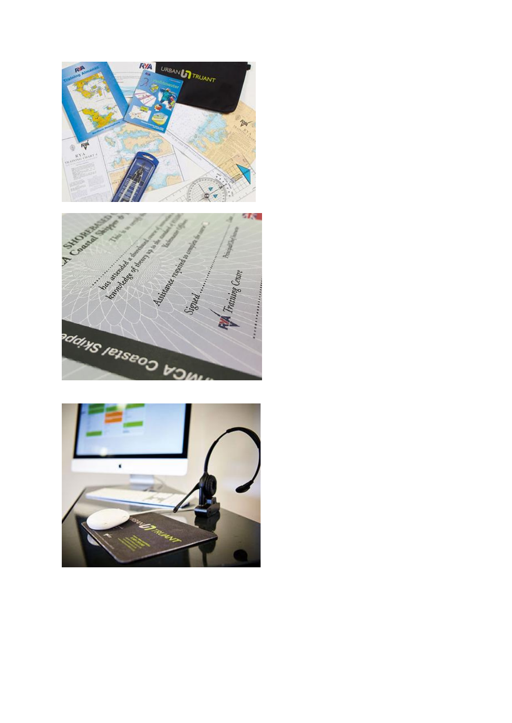